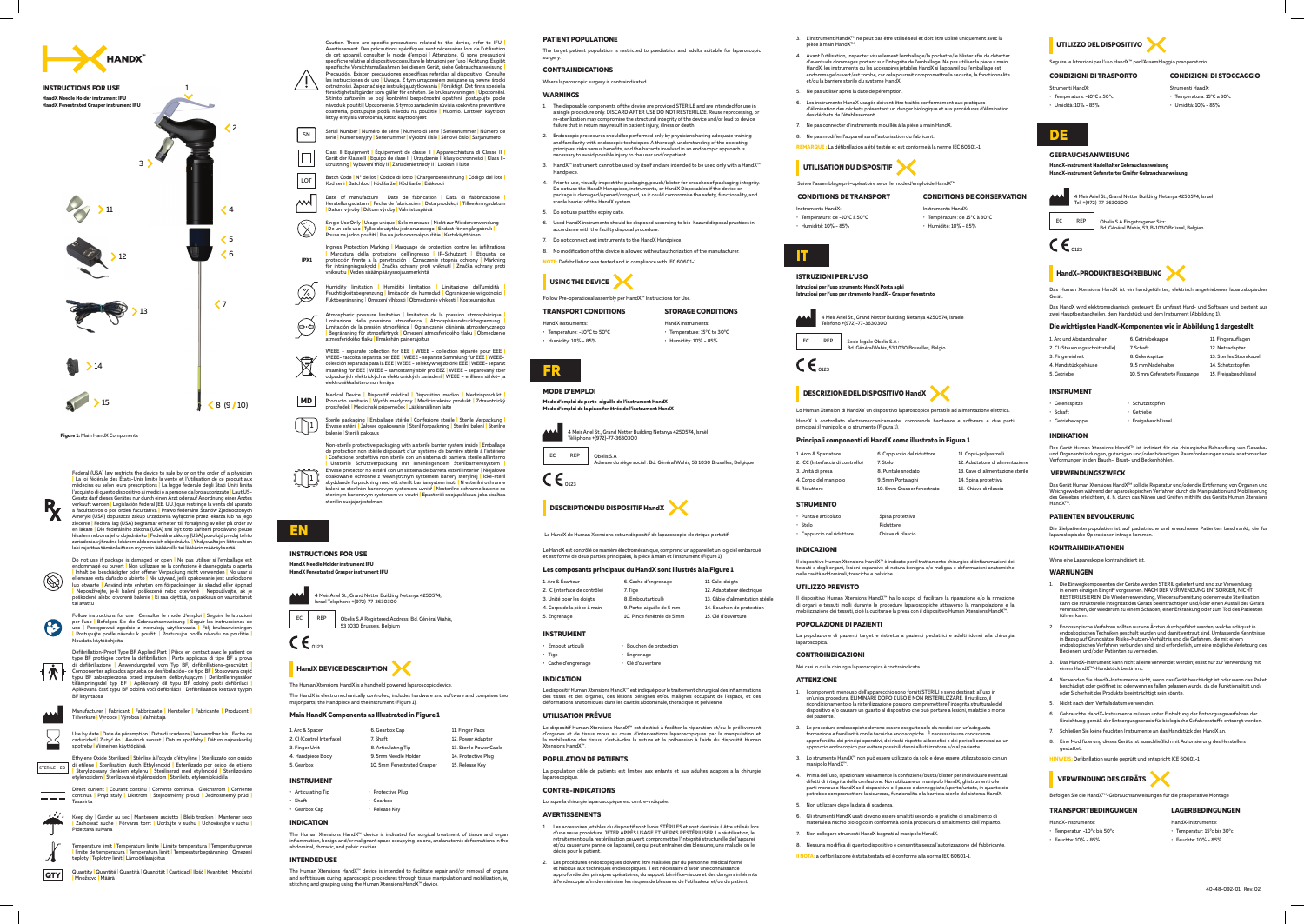



 $\mathbf{\Psi}^{\dagger}$ 

 $\overline{\phantom{0}}$ 

**1IPX**  Ingress Protection Marking | Marquage de protection contre les infiltrations<br>| Marcatura della protezione dell'ingresso | IP-Schutzart | Etiqueta de<br>protección frente a la penetración | Oznaczenie stopnia ochrony | Märknin

 $\mathbb{Q}$ Humidity limitation | Humiditė limitation | Limitazione dell'umidità |<br>Feuchtigkeitsbegrenzung||imitación|de|humedad||Ograniczenie-wilgotności|<br>Fuktbegränsning|Omezenívlhkosti|Obmedzenie-vlhkosti|Kosteusrajoitus

sure limitation <mark>|</mark> limitation de la pression atmosphérique Limitazione della pressione atmosferica | Atmosphärendruckbegrenzung |<br>Limitación de la presión atmosférica | Ograniczenie ciśnienia atmosferycznego<br>| Begränsning för atmosfärtryck | Omezení atmosférického tlaku | Obmedzen (⇔∙⇔) kého tlaku **|** Ilmakehän painerajoitus

**WEEE** - separate collection for EEE | WEEE - collection séparée pour EEE |  $\boxtimes$ WEEE- raccolta separata per EEE | WEEE - separate Sammlung für EEE | WEEE-<br>colección separada para la EEE | WEEE - selektywnej zbiórki EEE | WEEE- separat insamling för EEE | WEEE – samostatný sběr pro EEZ | WEEE – separovaný zber odpadových elektrických a elektronických zariadení WEEE - erillinen sähkö- ja mun kerävs



 $\blacksquare$  Zachować suche  $\blacksquare$  Förvaras torrt  $\blacksquare$  Udržujte v suchu  $\blacksquare$ 

Temperature limit *|* Température limite *|* Limite temperatura *|* Temperaturgrenze <mark>|</mark> límite de temperatura | Temperatura limit | Temperaturbegränsning | Omezení<br>teploty | Teplotný limit <mark>|</mark> Lämpötilarajoitus

**|** Medizinprodukt **|** medico Dispositivo **|** médical Dispositif **|** Device Medical **MD** Producto sanitario <mark>|</mark> Wyrób medyczny | Medicinteknisk produkt | Zdravotnický<br>prostředek <mark>|</mark> Medicinski pripomoček <mark>|</mark> Lääkinnällinen laite

Sterile packaging | Emballage stérile | Confezione sterile | Sterile Verpackung |<br>Envase estéril | Jałowe opakowanie | Steril forpackning | Sterilní balení | Sterilne  $\begin{pmatrix} 1 \\ 1 \end{pmatrix}$ pakkaus Steriili **|** balenie





Non-sterile protective packaging with a sterile barrier system inside | Emballage<br>de protection non stérile disposant d'un système de barrière stérile à l'intérieur<br>| Confezione protettiva non sterile con un sistema di bar

 $\lfloor \rfloor$ opakowanie ochronne z wewnętrznym systemem bariery sterylnej <mark>I</mark> Icke-steril<br>skyddande forpackning med ett sterilt barriarsystem inuti | N esterilni ochranne<br>baleni se sterilnim barierovym systemem uvnitř | Nesterilne ochr sterilnym barierovym systemom vo vnutri <mark>I</mark> Epasteriili suojapakkaus, joka sisaltaa<br>steriilin suojajarjestelman

 Množství **|** Kvantitet **|** Ilość **|** Cantidad **|** Quantität **|** Quantità **|** Quantité **|** QuantityMäärä **|** Množstvo**|**

Caution. There are specific precautions related to the device, refer to FICI<br>Avertissement. Des précautions spécifiques sont nécessaires lors de l'utilisation<br>de cet appareil, consulter le mode d'emploi | Attenzione. Ci so

- Serial Number | Numéro de série | Numero di serie | Seriennummer | Número de<br>serie | Numer seryjny | Serienummer | Výrobní číslo | Sériové číslo | Sarjanumero SN
- **Class II Equipment | Équipement de classe II | Apparecchiatura di Classe II**  $\boxed{\square}$ Gerät der Klasse II | Equipo de clase II | Urządzenie II klasy ochronności | Klass II utrustning | Vybavení třídy II | Zariadenie triedy II | Luokan II laite
- **|** lote del Código **|** Chargenbezeichnung **|** lotto di Codice **|** lot de °N **|** Code BatchEräkoodi **|** šarže Kód **|** šarže Kód **|** Batchkod **|** serii Kod  $|$  LOT
- $\mathbb{M}$ Date of manufacture <mark>I</mark> Date de fabrication <mark>I</mark> Data di fabbricazione <u>I</u><br>Herstellungsdatum |Fecha de fabricación | Data produkcji | Tillverkningsdatum<br>|Datum-výroby|Dátum-výroby|Valmistuspäivä
- $\circled{2}$ Single Use Only <mark>I</mark> Usage unique <mark>I</mark> Solo monouso I Nicht zur Wiederverwendung<br><mark>|</mark> De un solo uso | Tylko do użytku jednorazowego <mark>|</mark> Endast för engångsbruk <mark>|</mark> Pouze na jedno použití | Iba na jednorazové použitie | Kertakäyttöine

**QTY**

 $\boldsymbol{\Lambda}$ 

Follow instructions for use <mark>I</mark> Consulter le mode d'emploi <mark>I</mark> Seguire le Istruzioni<br>per l'uso <mark>|</mark> Befolgen Sie die Gebrauchsanweisung | Seguir las instrucciones de<br>uso | Postępować zgodnie z instrukcją użytkowania | Följ

Defibrillation-Proof Type BF Applied Part | Pièce en contact avec le patient de<br>type BF protégée contre la défibrillation | Parte applicata di tipo BF a prova<br>di defibrillazione | Anwendungstell vom Typ BF, defibrillations 15 mm se<br>3F liityntäosa

Manufacturer **|** Fabricant | Fabbricante | Hersteller | Fabricante | Producent |<br>Tillverkare | Výrobce | Výrobca | Valmistaja

Use by date <mark>|</mark> Date de péremption | Data di scadenza | Verwendbar bis | Fecha de<br>caducidad | Zużyć do | Används senast | Datum spotřeby | Dátum najneskoršej spotreby Viimeinen käyttöpäivä

STERILE EO Ethylene Oxide Sterilized <mark>|</mark> Stérilisé à l'oxyde d'éthylène <mark>|</mark> Sterilizzato con ossido di etilene <mark>I</mark> Sterilisation durch Ethylenoxid <mark>I</mark> Esterilizado por óxido de etileno<br><mark>I</mark> Sterylizowany tlenkiem etylenu | Steriliserad med etylenoxid | Sterilizováno<br>etylenoxidem <mark>| Sterilizované etylénoxidom | Steriloitu </mark>

Direct current <mark>I</mark> Courant continu <mark>I C</mark>orrente continua **I** Gleichstrom I Corriente<br>continua I Prąd stały <mark>I</mark> Likström <mark>I</mark> Stejnosměrný proud <mark>I</mark> Jednosmerný prúd <mark>I</mark><br>Tasavirta  $\frac{1}{2}$ 

#### <mark>HandX Needle Holder instrument IFU</mark><br>HandX Fenestrated Grasper instrument IFU **IFU instrument Grasper Fenestrated HandX**



4 Meir Ariel St., Grand Netter Building Netanya 4250574, Israel Telephone +(972)-77-363030C



EC | REP | Obelis S.A Registered Address: Bd. Général Wahis, 53 1030 Brussels, Belgium

Le HandX est contrôlé de manière électromécanique, comprend un appareil et un logiciel embarqué .(1 Figure (instrument'l et main à pièce la ,principales parties deux de formé est et

### **Les composants principaux du HandX sont illustrés à la Figure 1**

La population cible de patients est limitee aux enfants et aux adultes adaptes a la chirurgie .laparoscopique

### **CONTRE-INDICATIONS**

Lorsque la chirurgie laparoscopique est contre-indiquée.

## **EN**

### **INSTRUCTIONS FOR USE**



## **HandX DEVICE DESCRIPTION**

The Human Xtensions HandX is a handheld powered laparoscopic device.

The HandX is electromechanically controlled, includes hardware and software and comprises two<br>major parts, the Handpiece and the instrument (Figure 1).

11. Finger Pads 12. Power Adapter 13. Sterile Power Cable 14 Protective Plug 15. Release Kev

### **Main HandX Components as Illustrated in Figure 1**

La popolazione di pazienti target e ristretta a pazienti pediatrici e adulti idonei alla chirurgia .laparoscopica

| 1. Arc & Spacer           | 6. Gearbox Cap              |
|---------------------------|-----------------------------|
| 2. CI (Control Interface) | 7. Shaft                    |
| 3. Finger Unit            | 8. Articulating Tip         |
| 4. Handpiece Body         | 9. 5mm Needle Holder        |
| 5. Gearbox                | 10. 5mm Fenestrated Grasper |
|                           |                             |

## **INSTRUMENT**

| · Articulating Tip | · Protective Plug |
|--------------------|-------------------|
| $\cdot$ Shaft      | • Gearbox         |
| · Gearbox Cap      | · Release Key     |

## **INDICATION**

The Human Xtensions HandX™ device is indicated for surgical treatment of tissue and organ<br>inflammation, benign and/or malignant space occupying lesions, and anatomic deformations in the<br>abdominal, thoracic, and pelvic cavi

### **INTENDED USE**

The Human Xtensions HandX™ device is intended to facilitate repair and/or removal of organs<br>and soft tissues during laparoscopic procedures through tissue manipulation and mobilization, ie,<br>stitching and grasping using the

#### **PATIENT POPULATIONE**

The target patient population is restricted to paediatrics and adults suitable for laparoscopic

**Gebrauchsanweisung Nadelhalter instrument-HandX** HandX-instrument Gefensterter Greifer Gebrauchsanweisung



4 Meir Ariel St., Grand Netter Building Netanya 4250574, Israe Tel. +(972)-77-3630300



EC REP Obelis S.A Eingetragener Sitz:<br>Bd. Général Wahis, 53, B-1030 Brüssel, Belgien

.surgery

- 1. The disposable components of the device are provided STERILE and are intended for use in<br>a single procedure only. DISCARD AFTER USE DO NOT RESTERILIZE. Reuse reprocessing, or re-sterilization may compromise the structural integrity of the device and/or lead to device<br>failure that in return may result in patient injury, illness or death.
- 2. Endoscopic procedures should be performed only by physicians having adequate training<br>and familiarity with endoscopic techniques. A thorough understanding of the operating<br>principles, risks versus benefits, and the haza
- TMHand X<sup>™</sup> instrument cannot be used by itself and are intended to be used only with a Hand X<sup>™</sup> HandX <sup>→</sup> .Handpiece
- 4. Prior to use, visually inspect the packaging/pouch/blister for breaches of packaging integrity.<br>Do not use the HandX Handpiece, instruments, or HandX Disposables if the device or<br>package is damaged/opened/dropped, as it sterile barrier of the HandX systen
- 5. Do not use past the expiry date.
- 6. Used HandX instruments should be disposed according to bio-hazard disposal practices in accordance with the facility disposal procedure.
- Do not connect wet instruments to the HandX Handpie
- 8. No modification of this device is allowed without authorization of the manufacturer
- **NOTE:** Defabrillation was tested and in compliance with IEC 60601-1.

## **CONTRAINDICATIONS**

Where laparoscopic surgery is contraindicated.

#### **WARNINGS**

**INSTRUMENT** · Gelenkspitz • Schaft Getriebekappe•

Das Gerät Human Xtensions HandX™ ist indiziert für die chirurgische Behandlung von Gewebe-<br>und Organentzündungen, gutartigen und/oder bösartigen Raumforderungen sowie anatomischen Verformungen in den Bauch-, Brust- und Beckenhöhlen.



Follow Pre-operational assembly per HandX<sup>™</sup> Instructions for Use.

### **TRANSPORT CONDITIONS**

HandX instruments: Temperature: -10°C to 50°C  $\cdot$  Humidity: 10% - 85%

### **LAGERBEDINGUNGEN** HandX-Instrumente

- HandX-Instrumente · Temperatur: -10° c bis 50° c
- $\cdot$  Feuchte: 10% 85%
- $\cdot$  Temperatur: 15°c bis 30°c
- · Feuchte: 10% 85%



HandX instruments Temperature: 15°C to 30°C • Humidity: 10% - 85%



#### **MODE D'EMPLOI**

**Mode d'emploi du porte-aiguille de l'instrument HandX Ioi de la pince fenêtrée de l'instrument HandX** 





#### **Figure 1: Main HandX Components**

Federal (USA) law restricts the device to sale by or on the order of a physician La loi fédérale des États-Unis limite la vente et l'utilisation de ce produit aux médecins ou selon leurs prescriptions | La legge federale degli Stati Uniti limita<br>l'acquisto di questo dispositivo ai medici o a persone da loro autorizzate | Laut US-<br>Gesetz darf dieses Gerätes nur durch einen Arzt oder verkauft werden | Legislación federal (EE. UU.) que restringe la venta del aparato<br>a facultativos o por orden facultativa | Prawo federalne Stanów Zjednoczonych<br>Ameryki (USA) dopuszcza zakup urządzenia wyłącznie przez leka



 $\epsilon_{\text{0123}}$ 



Le HandX de Human Xtensions est un dispositif de laparoscopie électrique portatif.

| 1. Arc & Écarteur             | 6. Cache d'engrenage       | 11. Cale-doigts                  |
|-------------------------------|----------------------------|----------------------------------|
| 2. IC (interface de contrôle) | 7. Tige                    | 12. Adaptateur électrique        |
| 3. Unité pour les doigts      | 8. Emboutarticulé          | 13. Câble d'alimentation stérile |
| 4. Corps de la pièce à main   | 9. Porte-aiguille de 5 mm  | 14. Bouchon de protection        |
| 5. Engrenage                  | 10. Pince fenêtrée de 5 mm | 15. Clé d'ouverture              |
|                               |                            |                                  |

### **INSTRUMENT**

| • Embout articulé         | • Bouchon de protection |
|---------------------------|-------------------------|
| $\cdot$ Tige              | $\cdot$ Engrenage       |
| $\cdot$ Cache d'engrenage | · Clé d'ouverture       |

### **INDICATION**

Le dispositif Human Xtensions HandX<sup>™</sup> est indiqué pour le traitement chirurgical des inflar des tissus et des organes, des lésions bénignes et/ou malignes occupant de l'espace, et des<br>déformations anatomiques dans les cavités abdominale, thoracique et pelvienne.

### **UTILISATION PRÉVUE**

Le dispositif Human Xtensions HandX™ est destiné à faciliter la réparation et/ou le prélèvement<br>d'organes et de tissus mous au cours d'interventions laparoscopiques par la manipulation et<br>la mobilisation des tissus, c'est **Xtensions HandX<sup>\*</sup>** 

### **POPULATION DE PATIENTS**

## **AVERTISSEMENTS**

- l. Les accessoires jetables du dispositif sont livrés STERILES et sont destinés à être utilisés lors.<br>d'une seule procédure. JETER APRÈS USAGE ET NE PAS RESTÉRILISER. La réutilisation, le etraitement ou la restérilisation peuvent compromettre l'intégrité structurelle de l'appare et/ou causer une panne de l'appareil, ce qui peut entraîner des blessures, une maladie ou le décès pour le patient
- 2. Les procédures endoscopiques doivent être réalisées par du personnel médical formé<br>et habitué aux techniques endoscopiques. Il est nécessaire d'avoir une connaissance<br>approfondie des principes opératoires, du rapport bé
- $1. A$  $2.10$  $\overline{3}$ . L  $4.0$  $5. R$  $\cdot$  St



3. L'instrument HandX™ ne peut pas être utilisé seul et doit être utilisé uniquement avec la .<br>Mara à main HandY

4. Avant l'utilisation, inspectez visuellement l'emballage/la pochette/le blister afin de detecter<br>d'eventuels dommages portant sur l'integrite de l'emballage. Ne pas utiliser la piece a main<br>HandX, les instruments ou les

5. Ne pas utiliser après la date de péremptior

6. Les instruments HandX usagés doivent être traités conformément aux pratiques .<br>d'élimination des déchets présentant un danger biologique et aux procédures d'élimination des déchets de l'établissement

7. Ne pas connecter d'instruments mouillés à la pièce à main HandX.

8. Ne pas modifier l'appareil sans l'autorisation du fabricant. **REMARQUE :** La défibrillation a été testée et est conforme à la norme IEC 60601-1.

**DISPOSITIF** 

Suivre l'assemblage pré-opératoire selon le mode d'emploi de HandX™

### **CONDITIONS DE TRANSPORT**

**CONDITIONS DE CONSERVATION** 

- Instruments HandX. • Température: de -10°C à 50°C Humidité: 10% - 85%
- :HandX Instruments · Température: de 15°C à 30°C
- $·$  Humidité:  $10\%$   $85\%$



## **ISTRUZIONI PER L'USO**

uzioni per l'uso strumento HandX Porta aghi **Istruzioni per l'uso per strumento HandX - Grasper fen** 



EC REP Sede legale Obelis S.A: Belgio Collis 334 .<br>Bd. GénéralWahis, 53 1030 Bruxelles, Belgio



**DESCRIZIONE DEL DISPOSITIVO HandX** 

Lo Human Xtension di HandXe' un dispositivo laparoscopico portatile ad alimentazione elettrica HandX è controllato elettromeccanicamente, comprende hardware e software e due parti principali:il manipolo e lo strumento (Figura 1).

### **Principali componenti di HandX come illustrato in Figura 1**

| <b>STRUMENTO</b>                  |                            |                                   |
|-----------------------------------|----------------------------|-----------------------------------|
| 5. Riduttore                      | 10. 5mm Grasper fenestrato | 15. Chiave di rilascio            |
| 4. Corpo del manipolo             | 9. 5mm Porta aghi          | 14. Spina protettiva              |
| 3. Unità di presa                 | 8. Puntale snodato         | 13. Cavo di alimentazione sterile |
| 2. ICC (Interfaccia di controllo) | 7. Stelo                   | 12. Adattatore di alimentazione   |
| 1. Arco & Spaziatore              | 6. Cappuccio del riduttore | 11. Copri-polpastrelli            |
|                                   |                            |                                   |

| · Puntale articolato      | · Spina protettiva   |
|---------------------------|----------------------|
| • Stelo                   | · Riduttore          |
| · Cappuccio del riduttore | · Chiave di rilascio |

### **INDICAZIONI**

II dispositivo Human Xtensions HandX''' è indicato per il trattamento chirurgico di infiammazioni dei<br>tessuti e degli organi, lesioni espansive di natura benigna e/o maligna e deformazioni anatomiche<br>nelle cavità addominal

#### **UTILIZZO PREVISTO**

Il dispositivo Human Xtensions HandX<sup>™</sup> ha lo scopo di facilitare la riparazione e/o la rimozione di organi e tessuti molli durante le procedure laparoscopiche attraverso la manipolazione e la<br>mobilizzazione dei tessuti, cioè la cucitura e la presa con il dispositivo Human Xtensions HandX™.

### **POPOLAZIONE DI PAZIENTI**

### **CONTROINDICAZIONI**

Nei casi in cui la chirurgia laparoscopica è controindicata.

## **ATTENZIONE**

- 1. I componenti monouso dell'apparecchio sono forniti STERILI e sono destinati all'uso in<br>un'unica procedura. ELIMINARE DOPO L'USO E NON RISTERILIZZARE. Il riutilizzo, il ricondizionamento o la risterilizzazione possono compromettere l'integrità strutturale del<br>dispositivo e/o causare un guasto al dispositivo che può portare a lesioni, malattie o morte del paziente.
- 2. Le procedure endoscopiche devono essere eseguite solo da medici con un'adequata formazione e familiarità con le tecniche endoscopiche. E necessaria una conoscenza<br>approfondita dei principi operativi, dei rischi rispetto ai benefici e dei pericoli connessi ad un<br>approccio endoscopico per evitare possi
- 3. Lo strumento HandX<sup>™</sup> non può essere utilizzato da solo e deve essere utilizzato solo con un  $m$ anipolo  $HandX<sup>m</sup>$ .
- 4. Prima dell'uso, ispezionare visivamente la confezione/busta/blister per individuare eventuali<br>difetti di integrita della confezione. Non utilizzare un manipolo HandX; gli strumenti o le<br>parti monouso HandX se il disposi 5. Non utilizzare dopo la data di scadenza.
- 6. Gli strumenti HandX usati devono essere smaltiti secondo le pratiche di smaltimento di<br>materiale a rischio biologico in conformità con la procedura di smaltimento dell'impianto
- Non collegare strumenti HandX bagnati al manipolo HandX.
- 8. Nessuna modifica di questo dispositivo è consentita senza l'autorizzazione del fabbricante
- Il NOTA: a defibrillazione è stata testata ed è conforme alla norma IEC 60601-1



.<br>Seguire le Istruzioni per l'uso HandX™ per l'Ass

### **CONDIZIONI DI TRASPORTO**

- Strumenti HandX: • Temperatura: -10°C a 50°c
- 10% 10% Umidità

Strumenti HandX: · Temperatura: 15°C a 30°c

**CONDIZIONI DI STOCCAGGIO** 

11. Fingerauflagen 12. Netzadapte 13. Steriles Stromkabe 14. Schutzstopfen 15. Freigabeschlüsse

- 10% - 85% Umidità

**DE**

### **GEBRAUCHSANWEISUNG**



## HandX-PRODUKTBESCHREIBUNG

Das Human Xtensions HandX ist ein handgeführtes, elektrisch angetriebenes laparoskopisches

Das HandX wird elektromechanisch gesteuert. Es umfasst Hard- und Software und besteht aus<br>zwei Hauptbestandteilen, dem Handstück und dem Instrument (Abbildung 1).

## Die wichtigsten HandX-Komponenten wie in Abbildung 1 dargestellt

1. Arc und Abstandshalter 2. CI (Steuerungsschnittstelle) 3. Fingereinheit 4. Handstückgehäuse 5. Getriebe 6. Getriebekappe 7. Schaft Gelenkspitze 8. 9.5 mm Nadelhalter 10. 5 mm Gefensterte Fasszange

• Schutzstopfer • Getriebe

• Freigabeschlüsse



## **INDIKATION**

#### **VERWENDUNGSZWECK**

Das Gerät Human Xtensions HandX™ soll die Reparatur und/oder die Entfernung von Organen und mit der Antennahmen Manipulation die durch Verfahren durch die Manipulation<br>Weichgeweben während der laparoskopischen Verfahren durch die Manipulatio Xtensigen des mithilfe des Gewebes erleichtern. d. h. durch das Nähen und Greifen mithilfe des Geräts Human Xtension HandX™.

#### **PATIENTEN REVOLKERUNG**

Die Zielpatientenpopulation ist auf padiatrische und erwachsene Patienten beschrankt, die fur<br>laparoskopische Operationen infrage kommen.

## **KONTRAINDIKATIONEN**

Wenn eine Laparoskopie kontraindiziert ist

## **WARNUNGEN**

- 1. Die Einwegkomponenten der Geräte werden STERIL geliefert und sind zur Verwendung<br>1. in einem einzigen Eingriff vorgesehen. NACH DER VERWENDUNG ENTSORGEN, NICHT<br>1. RESTERILISIEREN. Die Wiederverwendung, Wiederaufbereitun verursachen,<br>führen kann<mark>.</mark>
- 2 Endoskopische Verfahren sollten nur von Ärzten durchgeführt werden welche adäguat in endoskopischen Techniken geschult wurden und damit vertraut sind. Umfassende Kenntnisse<br>in Bezug auf Grundsätze, Risiko-Nutzen-Verhältnis und die Gefahren, die mit einem .<br>Iden Verfahren verbunden sind, sind erforderlich, um eine mögliche Verletzung des .<br>Redieners und/oder Patienten zu verm
- 3. Das HandX-Instrument kann nicht alleine verwendet werden; es ist nur zur Verwendung mit einem HandX™-Handstück bestimmt
- 4. Verwenden Sie HandX-Instrumente nicht, wenn das Gerät beschädigt ist oder wenn das Paket<br>1. beschädigt oder geöffnet ist oder wenn es fallen gelassen wurde, da die Funktionalität und<br>1. oder Sicherheit der Produkte b
- 5. Nicht nach dem Verfallsdatum verwenden.
- 6. Gebrauchte HandX-Instrumente müssen unter Einhaltung der Entsorgungsverfahren der<br>Einrichtung gemäß der Entsorgungspraxis für biologische Gefahrenstoffe entsorgt werden
- 7. Schließen Sie keine feuchten Instrumente an das Handstück des HandX an.
- 8. Eine Modifizierung dieses Geräts ist ausschließlich mit Autorisierung des Herstellers gestatte<sup>t</sup>

**HINWEIS:** Defibrillation wurde geprüft und entspricht ICE 60601-1

## **VERWENDUNG DES GERÄTS**

Befolgen Sie die HandX™-Gebrauchsanweisungen für die präoperative Montage

## **TRANSPORTBEDINGUNGEN**